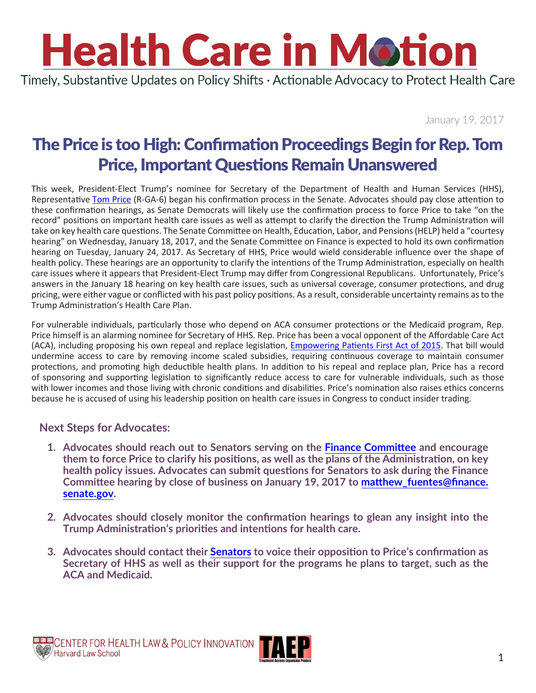Timely, Substantive Updates on Policy Shifts · Actionable Advocacy to Protect Health Care

January 19, 2017

## The Price is too High: Confirmation Proceedings Begin for Rep. Tom Price, Important Questions Remain Unanswered

This week, President-Elect Trump's nominee for Secretary of the Department of Health and Human Services (HHS), Representative [Tom Price](https://tomprice.house.gov/contact-information) (R-GA-6) began his confirmation process in the Senate. Advocates should pay close attention to these confirmation hearings, as Senate Democrats will likely use the confirmation process to force Price to take "on the record" positions on important health care issues as well as attempt to clarify the direction the Trump Administration will take on key health care questions. The Senate Committee on Health, Education, Labor, and Pensions (HELP) held a "courtesy hearing" on Wednesday, January 18, 2017, and the Senate Committee on Finance is expected to hold its own confirmation hearing on Tuesday, January 24, 2017. As Secretary of HHS, Price would wield considerable influence over the shape of health policy. These hearings are an opportunity to clarify the intentions of the Trump Administration, especially on health care issues where it appears that President-Elect Trump may differ from Congressional Republicans. Unfortunately, Price's answers in the January 18 hearing on key health care issues, such as universal coverage, consumer protections, and drug pricing, were either vague or conflicted with his past policy positions. As a result, considerable uncertainty remains as to the Trump Administration's Health Care Plan.

For vulnerable individuals, particularly those who depend on ACA consumer protections or the Medicaid program, Rep. Price himself is an alarming nominee for Secretary of HHS. Rep. Price has been a vocal opponent of the Affordable Care Act (ACA), including proposing his own repeal and replace legislation, [Empowering Patients First Act of 2015.](https://www.govtrack.us/congress/bills/114/hr2300/summary) That bill would undermine access to care by removing income scaled subsidies, requiring continuous coverage to maintain consumer protections, and promoting high deductible health plans. In addition to his repeal and replace plan, Price has a record of sponsoring and supporting legislation to significantly reduce access to care for vulnerable individuals, such as those with lower incomes and those living with chronic conditions and disabilities. Price's nomination also raises ethics concerns because he is accused of using his leadership position on health care issues in Congress to conduct insider trading.

#### **Next Steps for Advocates:**

- **1. Advocates should reach out to Senators serving on the [Finance Committee](https://www.finance.senate.gov/about/membership) and encourage them to force Price to clarify his positions, as well as the plans of the Administration, on key health policy issues. Advocates can submit questions for Senators to ask during the Finance Committee hearing by close of business on January 19, 2017 to [matthew\\_fuentes@finance.](mailto:matthew_fuentes@finance.senate.gov) [senate.gov.](mailto:matthew_fuentes@finance.senate.gov)**
- **2. Advocates should closely monitor the confirmation hearings to glean any insight into the Trump Administration's priorities and intentions for health care.**
- **3. Advocates should contact their [Senators](https://www.senate.gov/senators/contact/) to voice their opposition to Price's confirmation as Secretary of HHS as well as their support for the programs he plans to target, such as the ACA and Medicaid.**

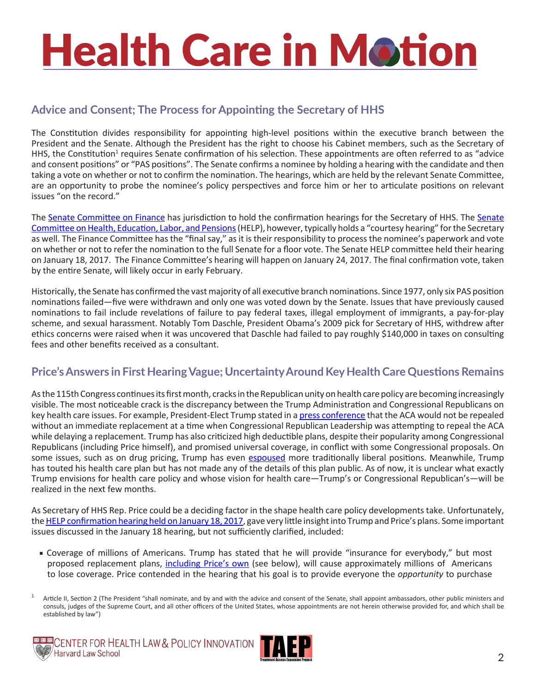### **Advice and Consent; The Process for Appointing the Secretary of HHS**

The Constitution divides responsibility for appointing high-level positions within the executive branch between the President and the Senate. Although the President has the right to choose his Cabinet members, such as the Secretary of HHS, the Constitution<sup>1</sup> requires Senate confirmation of his selection. These appointments are often referred to as "advice and consent positions" or "PAS positions". The Senate confirms a nominee by holding a hearing with the candidate and then taking a vote on whether or not to confirm the nomination. The hearings, which are held by the relevant Senate Committee, are an opportunity to probe the nominee's policy perspectives and force him or her to articulate positions on relevant issues "on the record."

The [Senate Committee on Finance](https://www.finance.senate.gov/about/membership) has jurisdiction to hold the confirmation hearings for the Secretary of HHS. The [Senate](https://www.help.senate.gov/about)  [Committee on Health, Education, Labor, and Pensions](https://www.help.senate.gov/about) (HELP), however, typically holds a "courtesy hearing" for the Secretary as well. The Finance Committee has the "final say," as it is their responsibility to process the nominee's paperwork and vote on whether or not to refer the nomination to the full Senate for a floor vote. The Senate HELP committee held their hearing on January 18, 2017. The Finance Committee's hearing will happen on January 24, 2017. The final confirmation vote, taken by the entire Senate, will likely occur in early February.

Historically, the Senate has confirmed the vast majority of all executive branch nominations. Since 1977, only six PAS position nominations failed—five were withdrawn and only one was voted down by the Senate. Issues that have previously caused nominations to fail include revelations of failure to pay federal taxes, illegal employment of immigrants, a pay-for-play scheme, and sexual harassment. Notably Tom Daschle, President Obama's 2009 pick for Secretary of HHS, withdrew after ethics concerns were raised when it was uncovered that Daschle had failed to pay roughly \$140,000 in taxes on consulting fees and other benefits received as a consultant.

### **Price's Answers in First Hearing Vague; Uncertainty Around Key Health Care Questions Remains**

As the 115th Congress continues its first month, cracks in the Republican unity on health care policy are becoming increasingly visible. The most noticeable crack is the discrepancy between the Trump Administration and Congressional Republicans on key health care issues. For example, President-Elect Trump stated in a [press conference](http://www.cnbc.com/2017/01/11/transcript-of-president-elect-donald-j-trumps-news-conference.html) that the ACA would not be repealed without an immediate replacement at a time when Congressional Republican Leadership was attempting to repeal the ACA while delaying a replacement. Trump has also criticized high deductible plans, despite their popularity among Congressional Republicans (including Price himself), and promised universal coverage, in conflict with some Congressional proposals. On some issues, such as on drug pricing, Trump has even [espoused](https://www.washingtonpost.com/news/wonk/wp/2017/01/11/trump-on-drug-prices-pharma-companies-are-getting-away-with-murder/?utm_term=.fcdc0d90ef5c) more traditionally liberal positions. Meanwhile, Trump has touted his health care plan but has not made any of the details of this plan public. As of now, it is unclear what exactly Trump envisions for health care policy and whose vision for health care—Trump's or Congressional Republican's—will be realized in the next few months.

As Secretary of HHS Rep. Price could be a deciding factor in the shape health care policy developments take. Unfortunately, the [HELP confirmation hearing held on January 18, 2017,](https://www.c-span.org/video/?421723-1/hhs-nominee-representative-tom-price-testifies-capitol-hill) gave very little insight into Trump and Price's plans. Some important issues discussed in the January 18 hearing, but not sufficiently clarified, included:

■ Coverage of millions of Americans. Trump has stated that he will provide "insurance for everybody," but most proposed replacement plans, *[including Price's own](http://www.cnn.com/2016/12/01/opinions/tom-price-care-vox-opinion/)* (see below), will cause approximately millions of Americans to lose coverage. Price contended in the hearing that his goal is to provide everyone the *opportunity* to purchase

<sup>&</sup>lt;sup>1</sup> Article II, Section 2 (The President "shall nominate, and by and with the advice and consent of the Senate, shall appoint ambassadors, other public ministers and consuls, judges of the Supreme Court, and all other officers of the United States, whose appointments are not herein otherwise provided for, and which shall be established by law")



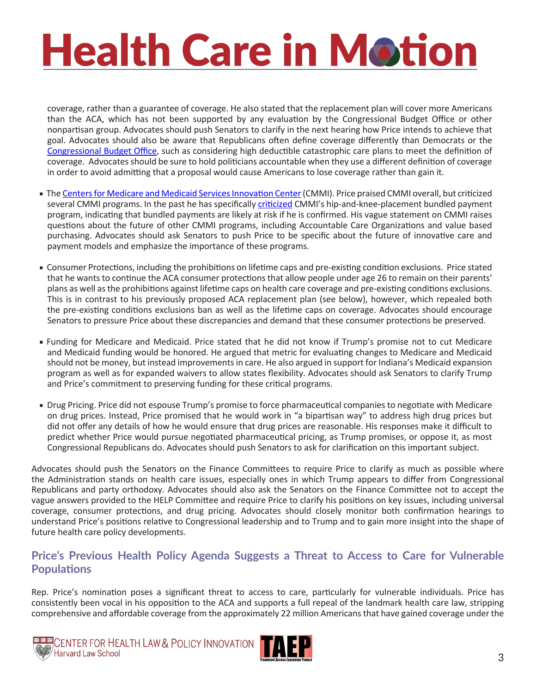coverage, rather than a guarantee of coverage. He also stated that the replacement plan will cover more Americans than the ACA, which has not been supported by any evaluation by the Congressional Budget Office or other nonpartisan group. Advocates should push Senators to clarify in the next hearing how Price intends to achieve that goal. Advocates should also be aware that Republicans often define coverage differently than Democrats or the [Congressional Budget Office](https://www.cbo.gov/publication/52352), such as considering high deductible catastrophic care plans to meet the definition of coverage. Advocates should be sure to hold politicians accountable when they use a different definition of coverage in order to avoid admitting that a proposal would cause Americans to lose coverage rather than gain it.

- The [Centers for Medicare and Medicaid Services Innovation Center](https://innovation.cms.gov/) (CMMI). Price praised CMMI overall, but criticized several CMMI programs. In the past he has specifically [criticized](http://tomprice.house.gov/sites/tomprice.house.gov/files/assets/September 29, 2016 CMMI Letter.pdf) CMMI's hip-and-knee-placement bundled payment program, indicating that bundled payments are likely at risk if he is confirmed. His vague statement on CMMI raises questions about the future of other CMMI programs, including Accountable Care Organizations and value based purchasing. Advocates should ask Senators to push Price to be specific about the future of innovative care and payment models and emphasize the importance of these programs.
- Consumer Protections, including the prohibitions on lifetime caps and pre-existing condition exclusions. Price stated that he wants to continue the ACA consumer protections that allow people under age 26 to remain on their parents' plans as well as the prohibitions against lifetime caps on health care coverage and pre-existing conditions exclusions. This is in contrast to his previously proposed ACA replacement plan (see below), however, which repealed both the pre-existing conditions exclusions ban as well as the lifetime caps on coverage. Advocates should encourage Senators to pressure Price about these discrepancies and demand that these consumer protections be preserved.
- Funding for Medicare and Medicaid. Price stated that he did not know if Trump's promise not to cut Medicare and Medicaid funding would be honored. He argued that metric for evaluating changes to Medicare and Medicaid should not be money, but instead improvements in care. He also argued in support for Indiana's Medicaid expansion program as well as for expanded waivers to allow states flexibility. Advocates should ask Senators to clarify Trump and Price's commitment to preserving funding for these critical programs.
- Drug Pricing. Price did not espouse Trump's promise to force pharmaceutical companies to negotiate with Medicare on drug prices. Instead, Price promised that he would work in "a bipartisan way" to address high drug prices but did not offer any details of how he would ensure that drug prices are reasonable. His responses make it difficult to predict whether Price would pursue negotiated pharmaceutical pricing, as Trump promises, or oppose it, as most Congressional Republicans do. Advocates should push Senators to ask for clarification on this important subject.

Advocates should push the Senators on the Finance Committees to require Price to clarify as much as possible where the Administration stands on health care issues, especially ones in which Trump appears to differ from Congressional Republicans and party orthodoxy. Advocates should also ask the Senators on the Finance Committee not to accept the vague answers provided to the HELP Committee and require Price to clarify his positions on key issues, including universal coverage, consumer protections, and drug pricing. Advocates should closely monitor both confirmation hearings to understand Price's positions relative to Congressional leadership and to Trump and to gain more insight into the shape of future health care policy developments.

#### **Price's Previous Health Policy Agenda Suggests a Threat to Access to Care for Vulnerable Populations**

Rep. Price's nomination poses a significant threat to access to care, particularly for vulnerable individuals. Price has consistently been vocal in his opposition to the ACA and supports a full repeal of the landmark health care law, stripping comprehensive and affordable coverage from the approximately 22 million Americans that have gained coverage under the



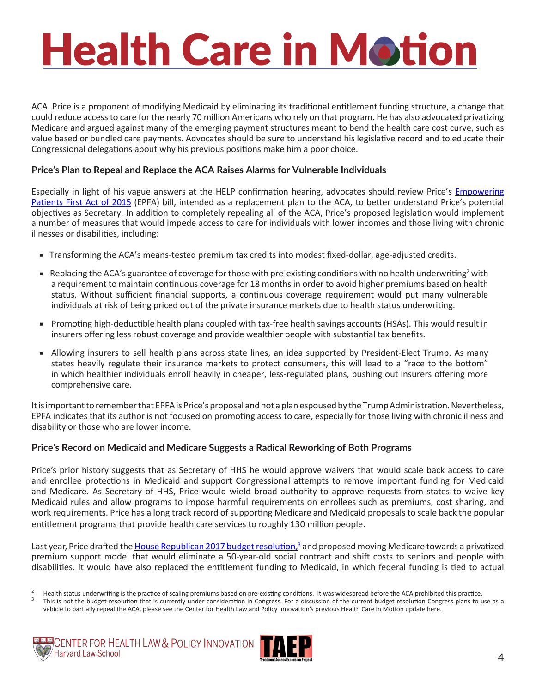ACA. Price is a proponent of modifying Medicaid by eliminating its traditional entitlement funding structure, a change that could reduce access to care for the nearly 70 million Americans who rely on that program. He has also advocated privatizing Medicare and argued against many of the emerging payment structures meant to bend the health care cost curve, such as value based or bundled care payments. Advocates should be sure to understand his legislative record and to educate their Congressional delegations about why his previous positions make him a poor choice.

#### **Price's Plan to Repeal and Replace the ACA Raises Alarms for Vulnerable Individuals**

Especially in light of his vague answers at the HELP confirmation hearing, advocates should review Price's Empowering [Patients First Act of 2015](https://www.govtrack.us/congress/bills/114/hr2300/summary) (EPFA) bill, intended as a replacement plan to the ACA, to better understand Price's potential objectives as Secretary. In addition to completely repealing all of the ACA, Price's proposed legislation would implement a number of measures that would impede access to care for individuals with lower incomes and those living with chronic illnesses or disabilities, including:

- Transforming the ACA's means-tested premium tax credits into modest fixed-dollar, age-adjusted credits.
- **■** Replacing the ACA's guarantee of coverage for those with pre-existing conditions with no health underwriting<sup>2</sup> with a requirement to maintain continuous coverage for 18 months in order to avoid higher premiums based on health status. Without sufficient financial supports, a continuous coverage requirement would put many vulnerable individuals at risk of being priced out of the private insurance markets due to health status underwriting.
- Promoting high-deductible health plans coupled with tax-free health savings accounts (HSAs). This would result in insurers offering less robust coverage and provide wealthier people with substantial tax benefits.
- Allowing insurers to sell health plans across state lines, an idea supported by [President-Elect Trump](https://www.donaldjtrump.com/policies/health-care/). As many states heavily regulate their insurance markets to protect consumers, this will lead to a "race to the bottom" in which healthier individuals enroll heavily in cheaper, less-regulated plans, pushing out insurers offering more comprehensive care.

It is important to remember that EPFA is Price's proposal and not a plan espoused by the Trump Administration. Nevertheless, EPFA indicates that its author is not focused on promoting access to care, especially for those living with chronic illness and disability or those who are lower income.

#### **Price's Record on Medicaid and Medicare Suggests a Radical Reworking of Both Programs**

Price's prior history suggests that as Secretary of HHS he would approve waivers that would scale back access to care and enrollee protections in Medicaid and support Congressional attempts to remove important funding for Medicaid and Medicare. As Secretary of HHS, Price would wield broad authority to approve requests from states to waive key Medicaid rules and allow programs to impose harmful requirements on enrollees such as premiums, cost sharing, and work requirements. Price has a long track record of supporting Medicare and Medicaid proposals to scale back the popular entitlement programs that provide health care services to roughly 130 million people.

Last year, Price drafted the <u>House Republican 2017 budget resolution,</u>3 and proposed moving Medicare towards a privatized premium support model that would eliminate a 50-year-old social contract and shift costs to seniors and people with disabilities. It would have also replaced the entitlement funding to Medicaid, in which federal funding is tied to actual

vehicle to partially repeal the ACA, please see the Center for Health Law and Policy Innovation's previous Health Care in Motion update [here](http://www.chlpi.org/wp-content/uploads/2013/12/Health-Care-in-Motion_01_12_2017.pdf).





<sup>&</sup>lt;sup>2</sup> Health status underwriting is the practice of scaling premiums based on pre-existing conditions. It was widespread before the ACA prohibited this practice.<br><sup>3</sup> This is not the budget resolution that is currently under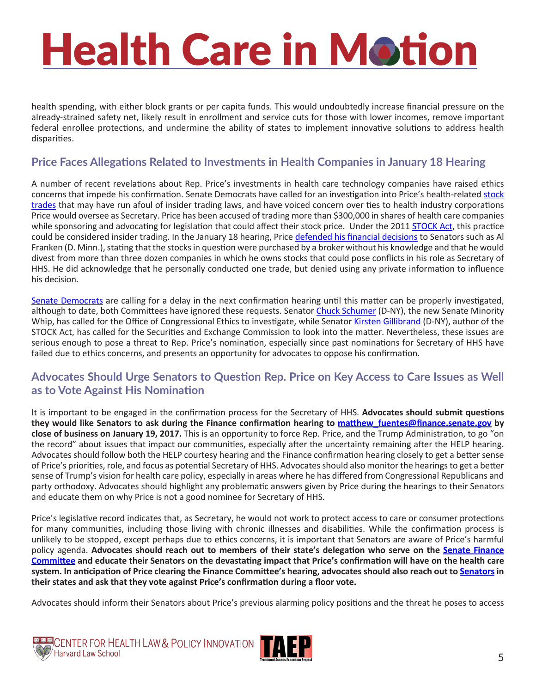health spending, with either block grants or per capita funds. This would undoubtedly increase financial pressure on the already-strained safety net, likely result in enrollment and service cuts for those with lower incomes, remove important federal enrollee protections, and undermine the ability of states to implement innovative solutions to address health disparities.

#### **Price Faces Allegations Related to Investments in Health Companies in January 18 Hearing**

A number of recent revelations about Rep. Price's investments in health care technology companies have raised ethics concerns that impede his confirmation. Senate Democrats have called for an investigation into Price's health-related [stock](https://www.bloomberg.com/politics/articles/2017-01-05/senate-democrats-want-probe-of-hhs-nominee-price-s-stock-trades)  [trades](https://www.bloomberg.com/politics/articles/2017-01-05/senate-democrats-want-probe-of-hhs-nominee-price-s-stock-trades) that may have run afoul of insider trading laws, and have voiced concern over ties to health industry corporations Price would oversee as Secretary. Price has been accused of trading more than \$300,000 in shares of health care companies while sponsoring and advocating for legislation that could affect their stock price. Under the 2011 [STOCK Act,](https://www.whitehouse.gov/the-press-office/2012/04/04/fact-sheet-stock-act-bans-members-congress-insider-trading) this practice could be considered insider trading. In the January 18 hearing, Price [defended his financial decisions](http://thehill.com/policy/healthcare/314759-tom-prices-confirmation-hearing-live-coverage) to Senators such as Al Franken (D. Minn.), stating that the stocks in question were purchased by a broker without his knowledge and that he would divest from more than three dozen companies in which he owns stocks that could pose conflicts in his role as Secretary of HHS. He did acknowledge that he personally conducted one trade, but denied using any private information to influence his decision.

[Senate Democrats](http://www.huffingtonpost.com/entry/tom-price-stock-trades_us_587e9e2be4b01cdc64c85db9) are calling for a delay in the next confirmation hearing until this matter can be properly investigated, although to date, both Committees have ignored these requests. Senator [Chuck Schumer](https://www.schumer.senate.gov/contact/office-locations) (D-NY), the new Senate Minority Whip, has called for the Office of Congressional Ethics to investigate, while Senator [Kirsten Gillibrand](https://www.gillibrand.senate.gov/contact/??on=OCR/page/6//page/5/) (D-NY), author of the STOCK Act, has called for the Securities and Exchange Commission to look into the matter. Nevertheless, these issues are serious enough to pose a threat to Rep. Price's nomination, especially since past nominations for Secretary of HHS have failed due to ethics concerns, and presents an opportunity for advocates to oppose his confirmation.

#### **Advocates Should Urge Senators to Question Rep. Price on Key Access to Care Issues as Well as to Vote Against His Nomination**

It is important to be engaged in the confirmation process for the Secretary of HHS. **Advocates should submit questions they would like Senators to ask during the Finance confirmation hearing to [matthew\\_fuentes@finance.senate.gov](mailto:matthew_fuentes@finance.senate.gov) by close of business on January 19, 2017.** This is an opportunity to force Rep. Price, and the Trump Administration, to go "on the record" about issues that impact our communities, especially after the uncertainty remaining after the HELP hearing. Advocates should follow both the HELP courtesy hearing and the Finance confirmation hearing closely to get a better sense of Price's priorities, role, and focus as potential Secretary of HHS. Advocates should also monitor the hearings to get a better sense of Trump's vision for health care policy, especially in areas where he has differed from Congressional Republicans and party orthodoxy. Advocates should highlight any problematic answers given by Price during the hearings to their Senators and educate them on why Price is not a good nominee for Secretary of HHS.

Price's legislative record indicates that, as Secretary, he would not work to protect access to care or consumer protections for many communities, including those living with chronic illnesses and disabilities. While the confirmation process is unlikely to be stopped, except perhaps due to ethics concerns, it is important that Senators are aware of Price's harmful policy agenda. Advocates should reach out to members of their state's delegation who serve on the **[Senate Finance](https://www.finance.senate.gov/about/membership) [Committee](https://www.finance.senate.gov/about/membership) and educate their Senators on the devastating impact that Price's confirmation will have on the health care system. In anticipation of Price clearing the Finance Committee's hearing, advocates should also reach out to [Senators](https://www.senate.gov/senators/contact/) in their states and ask that they vote against Price's confirmation during a floor vote.**

Advocates should inform their Senators about Price's previous alarming policy positions and the threat he poses to access